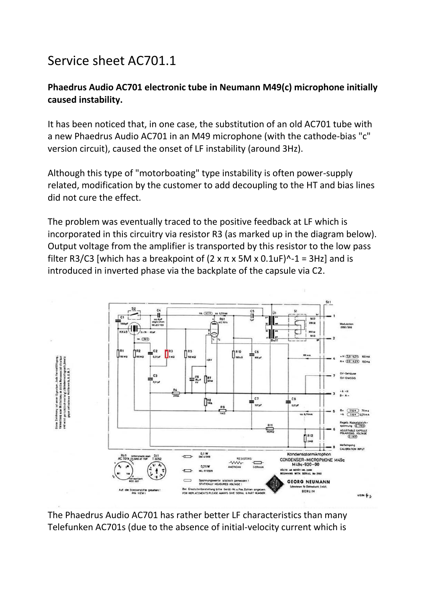## Service sheet AC701.1

## **Phaedrus Audio AC701 electronic tube in Neumann M49(c) microphone initially caused instability.**

It has been noticed that, in one case, the substitution of an old AC701 tube with a new Phaedrus Audio AC701 in an M49 microphone (with the cathode-bias "c" version circuit), caused the onset of LF instability (around 3Hz).

Although this type of "motorboating" type instability is often power-supply related, modification by the customer to add decoupling to the HT and bias lines did not cure the effect.

The problem was eventually traced to the positive feedback at LF which is incorporated in this circuitry via resistor R3 (as marked up in the diagram below). Output voltage from the amplifier is transported by this resistor to the low pass filter R3/C3 [which has a breakpoint of  $(2 \times \pi \times 5M \times 0.1 \text{uF})^2$ -1 = 3Hz] and is introduced in inverted phase via the backplate of the capsule via C2.



The Phaedrus Audio AC701 has rather better LF characteristics than many Telefunken AC701s (due to the absence of initial-velocity current which is